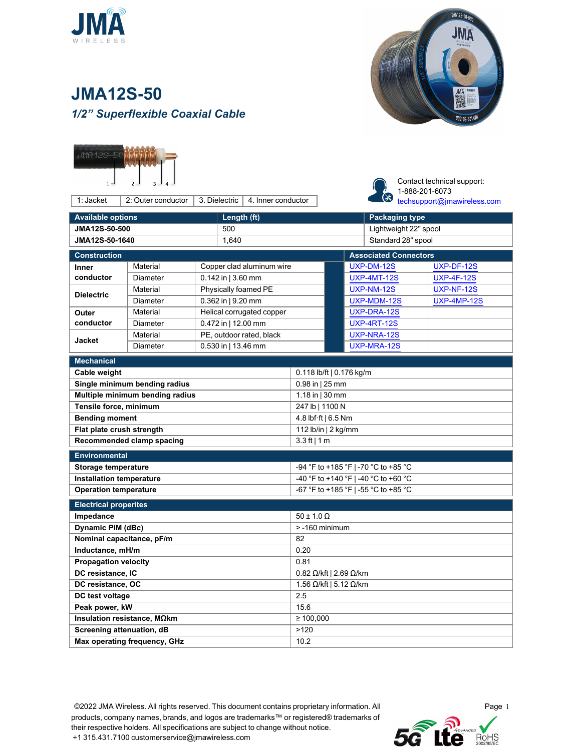



## **JMA12S-50** *1/2" Superflexible Coaxial Cable*



1: Jacket  $\begin{array}{|c|c|c|c|c|c|} \hline \end{array}$  2: Outer conductor  $\begin{array}{|c|c|c|c|c|} \hline \end{array}$  3. Dielectric  $\begin{array}{|c|c|c|c|c|c|} \hline \end{array}$  4. Inner conductor



Contact technical support: 1-888-201-6073 [techsupport@jmawireless.com](mailto:techsupport@jmawireless.com)

| <b>Available options</b>        |                                       |                                      | Length (ft)              |                     |                                        |                              | <b>Packaging type</b> |                    |  |  |  |
|---------------------------------|---------------------------------------|--------------------------------------|--------------------------|---------------------|----------------------------------------|------------------------------|-----------------------|--------------------|--|--|--|
| JMA12S-50-500                   |                                       |                                      | 500                      |                     |                                        |                              | Lightweight 22" spool |                    |  |  |  |
| JMA12S-50-1640                  |                                       |                                      | 1.640                    |                     |                                        | Standard 28" spool           |                       |                    |  |  |  |
| <b>Construction</b>             |                                       |                                      |                          |                     |                                        | <b>Associated Connectors</b> |                       |                    |  |  |  |
| <b>Inner</b>                    | Material<br>Copper clad aluminum wire |                                      |                          |                     |                                        | UXP-DM-12S                   |                       | UXP-DF-12S         |  |  |  |
| conductor                       | <b>Diameter</b>                       |                                      | 0.142 in   3.60 mm       |                     |                                        | <b>UXP-4MT-12S</b>           |                       | <b>UXP-4F-12S</b>  |  |  |  |
| <b>Dielectric</b>               | Material                              |                                      | Physically foamed PE     |                     |                                        |                              | UXP-NM-12S            | <b>UXP-NF-12S</b>  |  |  |  |
|                                 | <b>Diameter</b>                       |                                      | 0.362 in   9.20 mm       |                     |                                        |                              | UXP-MDM-12S           | <b>UXP-4MP-12S</b> |  |  |  |
| Outer                           | Helical corrugated copper<br>Material |                                      |                          |                     |                                        |                              | UXP-DRA-12S           |                    |  |  |  |
| conductor<br>Diameter           |                                       |                                      | 0.472 in   12.00 mm      |                     |                                        |                              | <b>UXP-4RT-12S</b>    |                    |  |  |  |
| <b>Jacket</b>                   | Material                              |                                      | PE, outdoor rated, black |                     |                                        |                              | UXP-NRA-12S           |                    |  |  |  |
|                                 | Diameter                              |                                      | 0.530 in   13.46 mm      |                     |                                        |                              | UXP-MRA-12S           |                    |  |  |  |
| <b>Mechanical</b>               |                                       |                                      |                          |                     |                                        |                              |                       |                    |  |  |  |
| Cable weight                    |                                       |                                      |                          |                     | 0.118 lb/ft   0.176 kg/m               |                              |                       |                    |  |  |  |
| Single minimum bending radius   |                                       |                                      |                          |                     | 0.98 in   25 mm                        |                              |                       |                    |  |  |  |
| Multiple minimum bending radius |                                       |                                      |                          |                     | 1.18 in $ 30$ mm                       |                              |                       |                    |  |  |  |
| Tensile force, minimum          |                                       |                                      |                          |                     | 247 lb   1100 N                        |                              |                       |                    |  |  |  |
| <b>Bending moment</b>           |                                       |                                      |                          |                     | 4.8 lbf ft   6.5 Nm                    |                              |                       |                    |  |  |  |
| Flat plate crush strength       |                                       |                                      |                          |                     | 112 lb/in   2 kg/mm                    |                              |                       |                    |  |  |  |
| Recommended clamp spacing       |                                       |                                      |                          |                     | $3.3$ ft   1 m                         |                              |                       |                    |  |  |  |
| <b>Environmental</b>            |                                       |                                      |                          |                     |                                        |                              |                       |                    |  |  |  |
| Storage temperature             |                                       | -94 °F to +185 °F   -70 °C to +85 °C |                          |                     |                                        |                              |                       |                    |  |  |  |
| <b>Installation temperature</b> |                                       |                                      |                          |                     | -40 °F to +140 °F   -40 °C to +60 °C   |                              |                       |                    |  |  |  |
| <b>Operation temperature</b>    |                                       |                                      |                          |                     | -67 °F to +185 °F   -55 °C to +85 °C   |                              |                       |                    |  |  |  |
| <b>Electrical properites</b>    |                                       |                                      |                          |                     |                                        |                              |                       |                    |  |  |  |
| Impedance                       |                                       |                                      |                          | $50 \pm 1.0 \Omega$ |                                        |                              |                       |                    |  |  |  |
| Dynamic PIM (dBc)               |                                       |                                      |                          |                     | $> -160$ minimum                       |                              |                       |                    |  |  |  |
| Nominal capacitance, pF/m       |                                       |                                      |                          |                     | 82                                     |                              |                       |                    |  |  |  |
| Inductance, mH/m                |                                       |                                      |                          |                     | 0.20                                   |                              |                       |                    |  |  |  |
| <b>Propagation velocity</b>     |                                       |                                      |                          |                     | 0.81                                   |                              |                       |                    |  |  |  |
| DC resistance. IC               |                                       |                                      |                          |                     | 0.82 $\Omega$ /kft   2.69 $\Omega$ /km |                              |                       |                    |  |  |  |
| DC resistance, OC               |                                       |                                      |                          |                     | 1.56 $\Omega$ /kft   5.12 $\Omega$ /km |                              |                       |                    |  |  |  |
| DC test voltage                 |                                       |                                      |                          |                     | 2.5                                    |                              |                       |                    |  |  |  |
| Peak power, kW                  |                                       |                                      |                          |                     | 15.6                                   |                              |                       |                    |  |  |  |
| Insulation resistance, MΩkm     |                                       |                                      |                          |                     | $\geq 100,000$                         |                              |                       |                    |  |  |  |
| Screening attenuation, dB       |                                       |                                      |                          |                     | >120                                   |                              |                       |                    |  |  |  |
| Max operating frequency, GHz    |                                       |                                      |                          |                     | 10.2                                   |                              |                       |                    |  |  |  |

©2022 JMA Wireless. All rights reserved. This document contains proprietary information. All products, company names, brands, and logos are trademarks™ or registered® trademarks of their respective holders. All specifications are subject to change without notice. +1 315.431.7100 customerservice@jmawireless.com